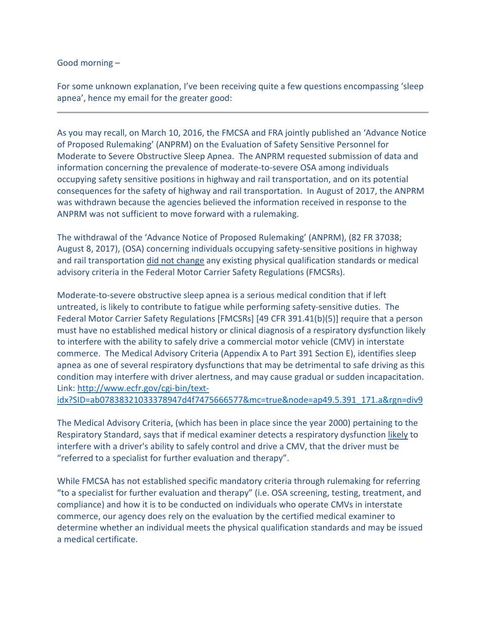Good morning –

For some unknown explanation, I've been receiving quite a few questions encompassing 'sleep apnea', hence my email for the greater good:

As you may recall, on March 10, 2016, the FMCSA and FRA jointly published an 'Advance Notice of Proposed Rulemaking' (ANPRM) on the Evaluation of Safety Sensitive Personnel for Moderate to Severe Obstructive Sleep Apnea. The ANPRM requested submission of data and information concerning the prevalence of moderate-to-severe OSA among individuals occupying safety sensitive positions in highway and rail transportation, and on its potential consequences for the safety of highway and rail transportation. In August of 2017, the ANPRM was withdrawn because the agencies believed the information received in response to the ANPRM was not sufficient to move forward with a rulemaking.

The withdrawal of the 'Advance Notice of Proposed Rulemaking' (ANPRM), (82 FR 37038; August 8, 2017), (OSA) concerning individuals occupying safety-sensitive positions in highway and rail transportation did not change any existing physical qualification standards or medical advisory criteria in the Federal Motor Carrier Safety Regulations (FMCSRs).

Moderate-to-severe obstructive sleep apnea is a serious medical condition that if left untreated, is likely to contribute to fatigue while performing safety-sensitive duties. The Federal Motor Carrier Safety Regulations [FMCSRs] [49 CFR 391.41(b)(5)] require that a person must have no established medical history or clinical diagnosis of a respiratory dysfunction likely to interfere with the ability to safely drive a commercial motor vehicle (CMV) in interstate commerce. The Medical Advisory Criteria (Appendix A to Part 391 Section E), identifies sleep apnea as one of several respiratory dysfunctions that may be detrimental to safe driving as this condition may interfere with driver alertness, and may cause gradual or sudden incapacitation. Link: [http://www.ecfr.gov/cgi-bin/text-](http://www.ecfr.gov/cgi-bin/text-idx?SID=ab07838321033378947d4f7475666577&mc=true&node=ap49.5.391_171.a&rgn=div9)

[idx?SID=ab07838321033378947d4f7475666577&mc=true&node=ap49.5.391\\_171.a&rgn=div9](http://www.ecfr.gov/cgi-bin/text-idx?SID=ab07838321033378947d4f7475666577&mc=true&node=ap49.5.391_171.a&rgn=div9)

The Medical Advisory Criteria, (which has been in place since the year 2000) pertaining to the Respiratory Standard, says that if medical examiner detects a respiratory dysfunction likely to interfere with a driver's ability to safely control and drive a CMV, that the driver must be "referred to a specialist for further evaluation and therapy".

While FMCSA has not established specific mandatory criteria through rulemaking for referring "to a specialist for further evaluation and therapy" (i.e. OSA screening, testing, treatment, and compliance) and how it is to be conducted on individuals who operate CMVs in interstate commerce, our agency does rely on the evaluation by the certified medical examiner to determine whether an individual meets the physical qualification standards and may be issued a medical certificate.